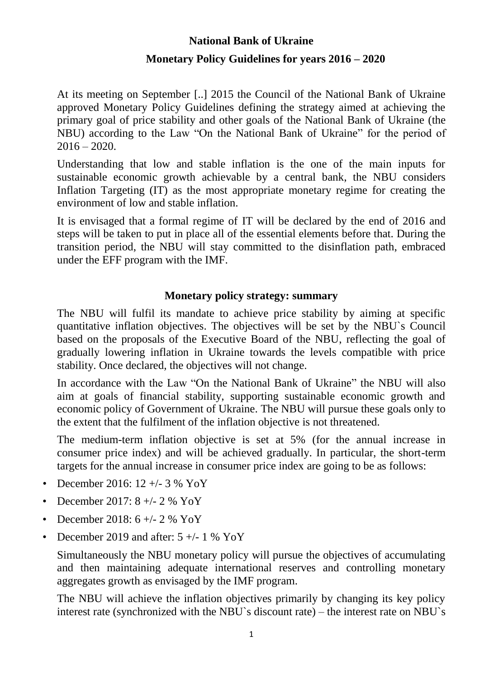# **National Bank of Ukraine Monetary Policy Guidelines for years 2016 – 2020**

At its meeting on September [..] 2015 the Council of the National Bank of Ukraine approved Monetary Policy Guidelines defining the strategy aimed at achieving the primary goal of price stability and other goals of the National Bank of Ukraine (the NBU) according to the Law "On the National Bank of Ukraine" for the period of  $2016 - 2020.$ 

Understanding that low and stable inflation is the one of the main inputs for sustainable economic growth achievable by a central bank, the NBU considers Inflation Targeting (IT) as the most appropriate monetary regime for creating the environment of low and stable inflation.

It is envisaged that a formal regime of IT will be declared by the end of 2016 and steps will be taken to put in place all of the essential elements before that. During the transition period, the NBU will stay committed to the disinflation path, embraced under the EFF program with the IMF.

### **Monetary policy strategy: summary**

The NBU will fulfil its mandate to achieve price stability by aiming at specific quantitative inflation objectives. The objectives will be set by the NBU`s Council based on the proposals of the Executive Board of the NBU, reflecting the goal of gradually lowering inflation in Ukraine towards the levels compatible with price stability. Once declared, the objectives will not change.

In accordance with the Law "On the National Bank of Ukraine" the NBU will also aim at goals of financial stability, supporting sustainable economic growth and economic policy of Government of Ukraine. The NBU will pursue these goals only to the extent that the fulfilment of the inflation objective is not threatened.

The medium-term inflation objective is set at 5% (for the annual increase in consumer price index) and will be achieved gradually. In particular, the short-term targets for the annual increase in consumer price index are going to be as follows:

- December 2016:  $12 +/- 3 \%$  YoY
- December 2017: 8 +/- 2 % YoY
- December 2018: 6 +/- 2 % YoY
- December 2019 and after:  $5 +/- 1$  % YoY

Simultaneously the NBU monetary policy will pursue the objectives of accumulating and then maintaining adequate international reserves and controlling monetary aggregates growth as envisaged by the IMF program.

The NBU will achieve the inflation objectives primarily by changing its key policy interest rate (synchronized with the NBU`s discount rate) – the interest rate on NBU`s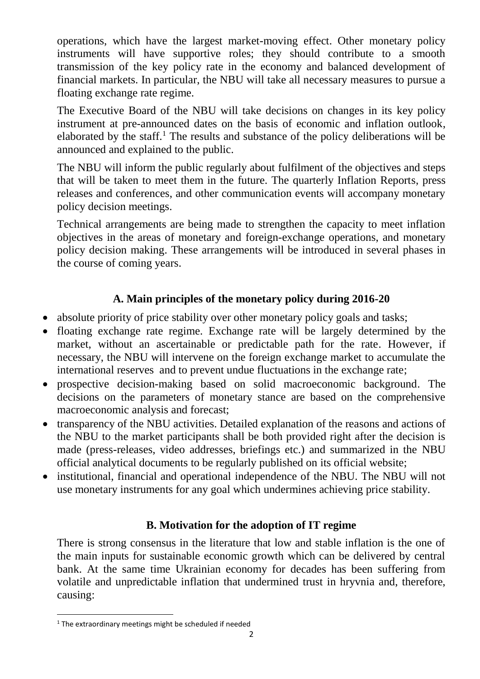operations, which have the largest market-moving effect. Other monetary policy instruments will have supportive roles; they should contribute to a smooth transmission of the key policy rate in the economy and balanced development of financial markets. In particular, the NBU will take all necessary measures to pursue a floating exchange rate regime.

The Executive Board of the NBU will take decisions on changes in its key policy instrument at pre-announced dates on the basis of economic and inflation outlook, elaborated by the staff.<sup>1</sup> The results and substance of the policy deliberations will be announced and explained to the public.

The NBU will inform the public regularly about fulfilment of the objectives and steps that will be taken to meet them in the future. The quarterly Inflation Reports, press releases and conferences, and other communication events will accompany monetary policy decision meetings.

Technical arrangements are being made to strengthen the capacity to meet inflation objectives in the areas of monetary and foreign-exchange operations, and monetary policy decision making. These arrangements will be introduced in several phases in the course of coming years.

# **A. Main principles of the monetary policy during 2016-20**

- absolute priority of price stability over other monetary policy goals and tasks;
- floating exchange rate regime. Exchange rate will be largely determined by the market, without an ascertainable or predictable path for the rate. However, if necessary, the NBU will intervene on the foreign exchange market to accumulate the international reserves and to prevent undue fluctuations in the exchange rate;
- prospective decision-making based on solid macroeconomic background. The decisions on the parameters of monetary stance are based on the comprehensive macroeconomic analysis and forecast;
- transparency of the NBU activities. Detailed explanation of the reasons and actions of the NBU to the market participants shall be both provided right after the decision is made (press-releases, video addresses, briefings etc.) and summarized in the NBU official analytical documents to be regularly published on its official website;
- institutional, financial and operational independence of the NBU. The NBU will not use monetary instruments for any goal which undermines achieving price stability.

# **B. Motivation for the adoption of IT regime**

There is strong consensus in the literature that low and stable inflation is the one of the main inputs for sustainable economic growth which can be delivered by central bank. At the same time Ukrainian economy for decades has been suffering from volatile and unpredictable inflation that undermined trust in hryvnia and, therefore, causing:

**<sup>.</sup>**  $1$  The extraordinary meetings might be scheduled if needed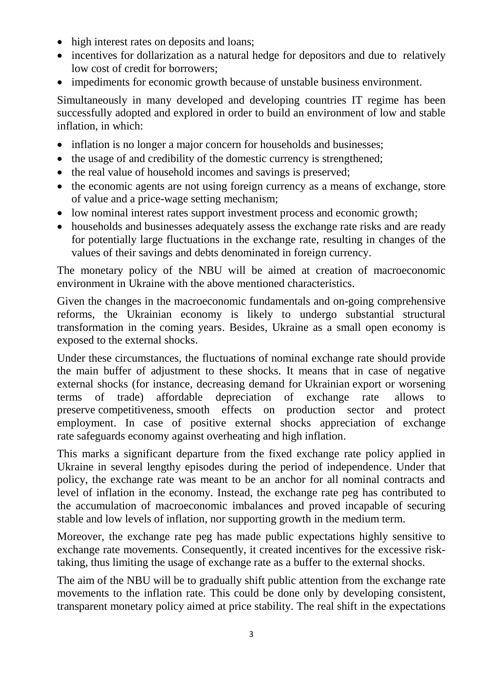- high interest rates on deposits and loans;
- incentives for dollarization as a natural hedge for depositors and due to relatively low cost of credit for borrowers;
- impediments for economic growth because of unstable business environment.

Simultaneously in many developed and developing countries IT regime has been successfully adopted and explored in order to build an environment of low and stable inflation, in which:

- inflation is no longer a major concern for households and businesses;
- the usage of and credibility of the domestic currency is strengthened;
- the real value of household incomes and savings is preserved;
- the economic agents are not using foreign currency as a means of exchange, store of value and a price-wage setting mechanism;
- low nominal interest rates support investment process and economic growth;
- households and businesses adequately assess the exchange rate risks and are ready for potentially large fluctuations in the exchange rate, resulting in changes of the values of their savings and debts denominated in foreign currency.

The monetary policy of the NBU will be aimed at creation of macroeconomic environment in Ukraine with the above mentioned characteristics.

Given the changes in the macroeconomic fundamentals and on-going comprehensive reforms, the Ukrainian economy is likely to undergo substantial structural transformation in the coming years. Besides, Ukraine as a small open economy is exposed to the external shocks.

Under these circumstances, the fluctuations of nominal exchange rate should provide the main buffer of adjustment to these shocks. It means that in case of negative external shocks (for instance, decreasing demand for Ukrainian export or worsening terms of trade) affordable depreciation of exchange rate allows to preserve competitiveness, smooth effects on production sector and protect employment. In case of positive external shocks appreciation of exchange rate safeguards economy against overheating and high inflation.

This marks a significant departure from the fixed exchange rate policy applied in Ukraine in several lengthy episodes during the period of independence. Under that policy, the exchange rate was meant to be an anchor for all nominal contracts and level of inflation in the economy. Instead, the exchange rate peg has contributed to the accumulation of macroeconomic imbalances and proved incapable of securing stable and low levels of inflation, nor supporting growth in the medium term.

Moreover, the exchange rate peg has made public expectations highly sensitive to exchange rate movements. Consequently, it created incentives for the excessive risktaking, thus limiting the usage of exchange rate as a buffer to the external shocks.

The aim of the NBU will be to gradually shift public attention from the exchange rate movements to the inflation rate. This could be done only by developing consistent, transparent monetary policy aimed at price stability. The real shift in the expectations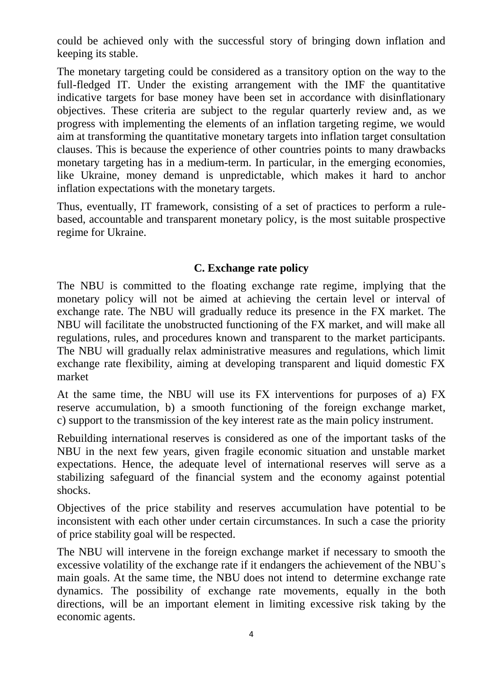could be achieved only with the successful story of bringing down inflation and keeping its stable.

The monetary targeting could be considered as a transitory option on the way to the full-fledged IT. Under the existing arrangement with the IMF the quantitative indicative targets for base money have been set in accordance with disinflationary objectives. These criteria are subject to the regular quarterly review and, as we progress with implementing the elements of an inflation targeting regime, we would aim at transforming the quantitative monetary targets into inflation target consultation clauses. This is because the experience of other countries points to many drawbacks monetary targeting has in a medium-term. In particular, in the emerging economies, like Ukraine, money demand is unpredictable, which makes it hard to anchor inflation expectations with the monetary targets.

Thus, eventually, IT framework, consisting of a set of practices to perform a rulebased, accountable and transparent monetary policy, is the most suitable prospective regime for Ukraine.

# **C. Exchange rate policy**

The NBU is committed to the floating exchange rate regime, implying that the monetary policy will not be aimed at achieving the certain level or interval of exchange rate. The NBU will gradually reduce its presence in the FX market. The NBU will facilitate the unobstructed functioning of the FX market, and will make all regulations, rules, and procedures known and transparent to the market participants. The NBU will gradually relax administrative measures and regulations, which limit exchange rate flexibility, aiming at developing transparent and liquid domestic FX market

At the same time, the NBU will use its FX interventions for purposes of a) FX reserve accumulation, b) a smooth functioning of the foreign exchange market, c) support to the transmission of the key interest rate as the main policy instrument.

Rebuilding international reserves is considered as one of the important tasks of the NBU in the next few years, given fragile economic situation and unstable market expectations. Hence, the adequate level of international reserves will serve as a stabilizing safeguard of the financial system and the economy against potential shocks.

Objectives of the price stability and reserves accumulation have potential to be inconsistent with each other under certain circumstances. In such a case the priority of price stability goal will be respected.

The NBU will intervene in the foreign exchange market if necessary to smooth the excessive volatility of the exchange rate if it endangers the achievement of the NBU`s main goals. At the same time, the NBU does not intend to determine exchange rate dynamics. The possibility of exchange rate movements, equally in the both directions, will be an important element in limiting excessive risk taking by the economic agents.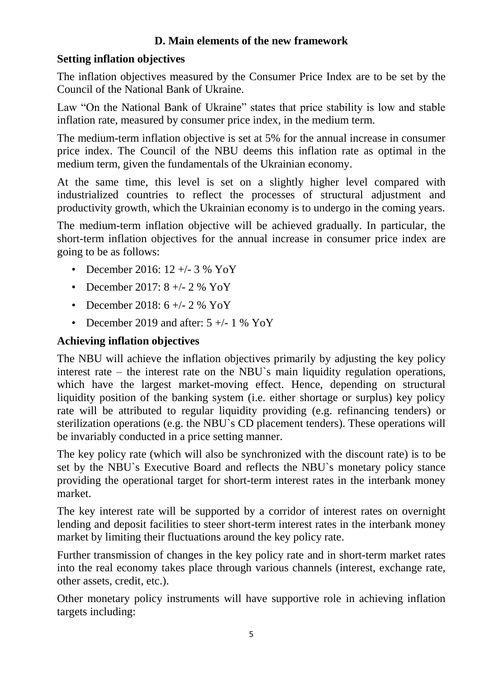# **D. Main elements of the new framework**

### **Setting inflation objectives**

The inflation objectives measured by the Consumer Price Index are to be set by the Council of the National Bank of Ukraine.

Law "On the National Bank of Ukraine" states that price stability is low and stable inflation rate, measured by consumer price index, in the medium term.

The medium-term inflation objective is set at 5% for the annual increase in consumer price index. The Council of the NBU deems this inflation rate as optimal in the medium term, given the fundamentals of the Ukrainian economy.

At the same time, this level is set on a slightly higher level compared with industrialized countries to reflect the processes of structural adjustment and productivity growth, which the Ukrainian economy is to undergo in the coming years.

The medium-term inflation objective will be achieved gradually. In particular, the short-term inflation objectives for the annual increase in consumer price index are going to be as follows:

- December 2016:  $12 + (-3)$  % YoY
- December 2017:  $8 +/- 2 \%$  YoY
- December 2018:  $6 +/- 2$  % YoY
- December 2019 and after:  $5 +/- 1$  % YoY

### **Achieving inflation objectives**

The NBU will achieve the inflation objectives primarily by adjusting the key policy interest rate – the interest rate on the NBU`s main liquidity regulation operations, which have the largest market-moving effect. Hence, depending on structural liquidity position of the banking system (i.e. either shortage or surplus) key policy rate will be attributed to regular liquidity providing (e.g. refinancing tenders) or sterilization operations (e.g. the NBU`s CD placement tenders). These operations will be invariably conducted in a price setting manner.

The key policy rate (which will also be synchronized with the discount rate) is to be set by the NBU`s Executive Board and reflects the NBU`s monetary policy stance providing the operational target for short-term interest rates in the interbank money market.

The key interest rate will be supported by a corridor of interest rates on overnight lending and deposit facilities to steer short-term interest rates in the interbank money market by limiting their fluctuations around the key policy rate.

Further transmission of changes in the key policy rate and in short-term market rates into the real economy takes place through various channels (interest, exchange rate, other assets, credit, etc.).

Other monetary policy instruments will have supportive role in achieving inflation targets including: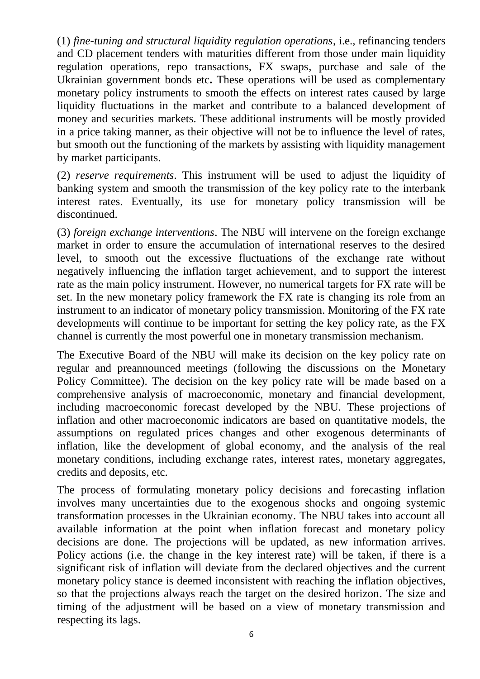(1) *fine-tuning and structural liquidity regulation operations*, i.e., refinancing tenders and CD placement tenders with maturities different from those under main liquidity regulation operations, repo transactions, FX swaps, purchase and sale of the Ukrainian government bonds etc**.** These operations will be used as complementary monetary policy instruments to smooth the effects on interest rates caused by large liquidity fluctuations in the market and contribute to a balanced development of money and securities markets. These additional instruments will be mostly provided in a price taking manner, as their objective will not be to influence the level of rates, but smooth out the functioning of the markets by assisting with liquidity management by market participants.

(2) *reserve requirements*. This instrument will be used to adjust the liquidity of banking system and smooth the transmission of the key policy rate to the interbank interest rates. Eventually, its use for monetary policy transmission will be discontinued.

(3) *foreign exchange interventions*. The NBU will intervene on the foreign exchange market in order to ensure the accumulation of international reserves to the desired level, to smooth out the excessive fluctuations of the exchange rate without negatively influencing the inflation target achievement, and to support the interest rate as the main policy instrument. However, no numerical targets for FX rate will be set. In the new monetary policy framework the FX rate is changing its role from an instrument to an indicator of monetary policy transmission. Monitoring of the FX rate developments will continue to be important for setting the key policy rate, as the FX channel is currently the most powerful one in monetary transmission mechanism.

The Executive Board of the NBU will make its decision on the key policy rate on regular and preannounced meetings (following the discussions on the Monetary Policy Committee). The decision on the key policy rate will be made based on a comprehensive analysis of macroeconomic, monetary and financial development, including macroeconomic forecast developed by the NBU. These projections of inflation and other macroeconomic indicators are based on quantitative models, the assumptions on regulated prices changes and other exogenous determinants of inflation, like the development of global economy, and the analysis of the real monetary conditions, including exchange rates, interest rates, monetary aggregates, credits and deposits, etc.

The process of formulating monetary policy decisions and forecasting inflation involves many uncertainties due to the exogenous shocks and ongoing systemic transformation processes in the Ukrainian economy. The NBU takes into account all available information at the point when inflation forecast and monetary policy decisions are done. The projections will be updated, as new information arrives. Policy actions (i.e. the change in the key interest rate) will be taken, if there is a significant risk of inflation will deviate from the declared objectives and the current monetary policy stance is deemed inconsistent with reaching the inflation objectives, so that the projections always reach the target on the desired horizon. The size and timing of the adjustment will be based on a view of monetary transmission and respecting its lags.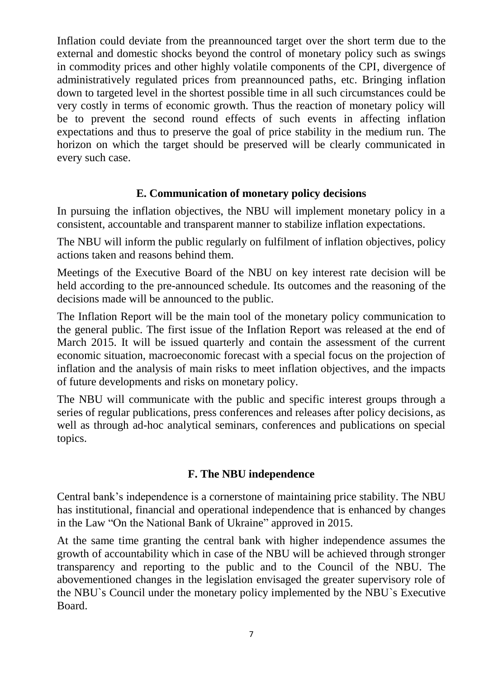Inflation could deviate from the preannounced target over the short term due to the external and domestic shocks beyond the control of monetary policy such as swings in commodity prices and other highly volatile components of the CPI, divergence of administratively regulated prices from preannounced paths, etc. Bringing inflation down to targeted level in the shortest possible time in all such circumstances could be very costly in terms of economic growth. Thus the reaction of monetary policy will be to prevent the second round effects of such events in affecting inflation expectations and thus to preserve the goal of price stability in the medium run. The horizon on which the target should be preserved will be clearly communicated in every such case.

#### **E. Communication of monetary policy decisions**

In pursuing the inflation objectives, the NBU will implement monetary policy in a consistent, accountable and transparent manner to stabilize inflation expectations.

The NBU will inform the public regularly on fulfilment of inflation objectives, policy actions taken and reasons behind them.

Meetings of the Executive Board of the NBU on key interest rate decision will be held according to the pre-announced schedule. Its outcomes and the reasoning of the decisions made will be announced to the public.

The Inflation Report will be the main tool of the monetary policy communication to the general public. The first issue of the Inflation Report was released at the end of March 2015. It will be issued quarterly and contain the assessment of the current economic situation, macroeconomic forecast with a special focus on the projection of inflation and the analysis of main risks to meet inflation objectives, and the impacts of future developments and risks on monetary policy.

The NBU will communicate with the public and specific interest groups through a series of regular publications, press conferences and releases after policy decisions, as well as through ad-hoc analytical seminars, conferences and publications on special topics.

# **F. The NBU independence**

Central bank's independence is a cornerstone of maintaining price stability. The NBU has institutional, financial and operational independence that is enhanced by changes in the Law "On the National Bank of Ukraine" approved in 2015.

At the same time granting the central bank with higher independence assumes the growth of accountability which in case of the NBU will be achieved through stronger transparency and reporting to the public and to the Council of the NBU. The abovementioned changes in the legislation envisaged the greater supervisory role of the NBU`s Council under the monetary policy implemented by the NBU`s Executive Board.